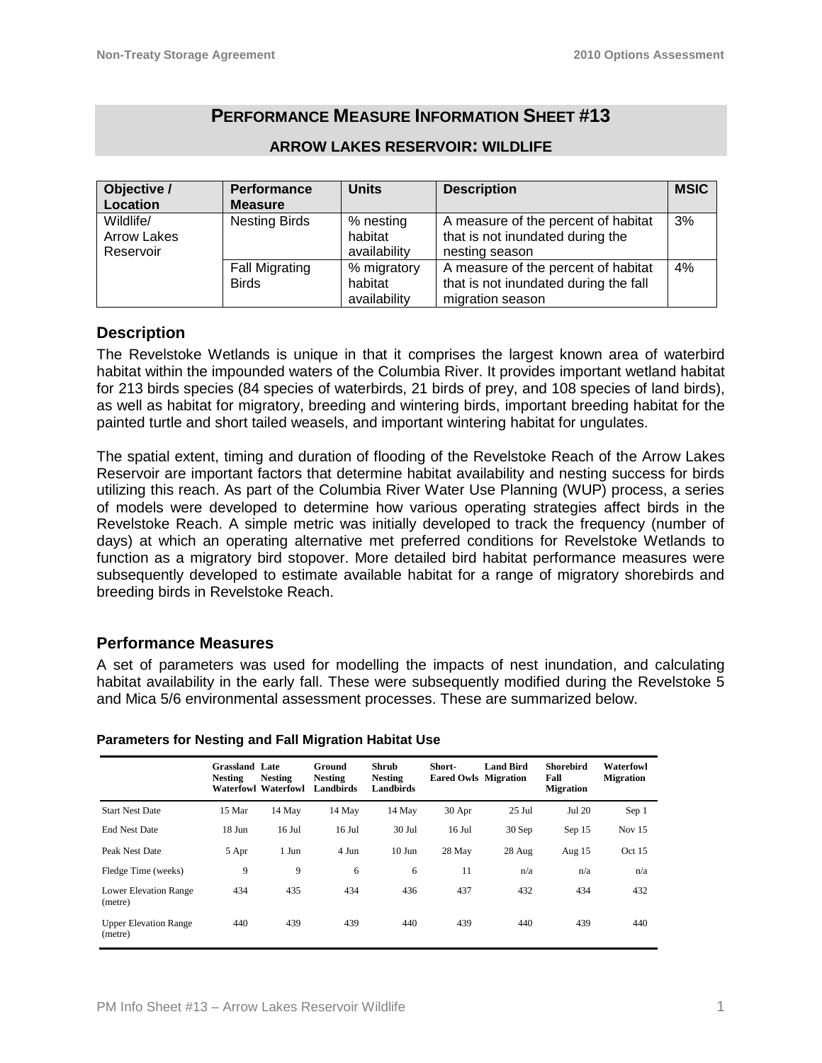# **PERFORMANCE MEASURE INFORMATION SHEET #13**

| Objective /        | Performance           | <b>Units</b> | <b>Description</b>                    | <b>MSIC</b> |
|--------------------|-----------------------|--------------|---------------------------------------|-------------|
| Location           | <b>Measure</b>        |              |                                       |             |
| Wildlife/          | <b>Nesting Birds</b>  | % nesting    | A measure of the percent of habitat   | 3%          |
| <b>Arrow Lakes</b> |                       | habitat      | that is not inundated during the      |             |
| Reservoir          |                       | availability | nesting season                        |             |
|                    | <b>Fall Migrating</b> | % migratory  | A measure of the percent of habitat   | 4%          |
|                    | <b>Birds</b>          | habitat      | that is not inundated during the fall |             |
|                    |                       | availability | migration season                      |             |

### **ARROW LAKES RESERVOIR: WILDLIFE**

## **Description**

The Revelstoke Wetlands is unique in that it comprises the largest known area of waterbird habitat within the impounded waters of the Columbia River. It provides important wetland habitat for 213 birds species (84 species of waterbirds, 21 birds of prey, and 108 species of land birds), as well as habitat for migratory, breeding and wintering birds, important breeding habitat for the painted turtle and short tailed weasels, and important wintering habitat for ungulates.

The spatial extent, timing and duration of flooding of the Revelstoke Reach of the Arrow Lakes Reservoir are important factors that determine habitat availability and nesting success for birds utilizing this reach. As part of the Columbia River Water Use Planning (WUP) process, a series of models were developed to determine how various operating strategies affect birds in the Revelstoke Reach. A simple metric was initially developed to track the frequency (number of days) at which an operating alternative met preferred conditions for Revelstoke Wetlands to function as a migratory bird stopover. More detailed bird habitat performance measures were subsequently developed to estimate available habitat for a range of migratory shorebirds and breeding birds in Revelstoke Reach.

## **Performance Measures**

A set of parameters was used for modelling the impacts of nest inundation, and calculating habitat availability in the early fall. These were subsequently modified during the Revelstoke 5 and Mica 5/6 environmental assessment processes. These are summarized below.

|                                         | <b>Grassland Late</b><br><b>Nesting</b> | <b>Nesting</b><br>Waterfowl Waterfowl | Ground<br><b>Nesting</b><br><b>Landbirds</b> | Shrub<br><b>Nesting</b><br>Landbirds | Short-<br><b>Eared Owls Migration</b> | <b>Land Bird</b> | Shorebird<br>Fall<br><b>Migration</b> | Waterfowl<br><b>Migration</b> |
|-----------------------------------------|-----------------------------------------|---------------------------------------|----------------------------------------------|--------------------------------------|---------------------------------------|------------------|---------------------------------------|-------------------------------|
| <b>Start Nest Date</b>                  | 15 Mar                                  | 14 May                                | 14 May                                       | 14 May                               | 30 Apr                                | $25$ Jul         | Jul 20                                | Sep 1                         |
| <b>End Nest Date</b>                    | $18$ Jun                                | $16$ Jul                              | $16$ Jul                                     | $30$ Jul                             | 16 Jul                                | $30$ Sep         | Sep 15                                | Nov $15$                      |
| Peak Nest Date                          | 5 Apr                                   | 1 Jun                                 | 4 Jun                                        | $10$ Jun                             | 28 May                                | 28 Aug           | Aug 15                                | Oct 15                        |
| Fledge Time (weeks)                     | 9                                       | 9                                     | 6                                            | 6                                    | 11                                    | n/a              | n/a                                   | n/a                           |
| <b>Lower Elevation Range</b><br>(metre) | 434                                     | 435                                   | 434                                          | 436                                  | 437                                   | 432              | 434                                   | 432                           |
| <b>Upper Elevation Range</b><br>(metre) | 440                                     | 439                                   | 439                                          | 440                                  | 439                                   | 440              | 439                                   | 440                           |

#### **Parameters for Nesting and Fall Migration Habitat Use**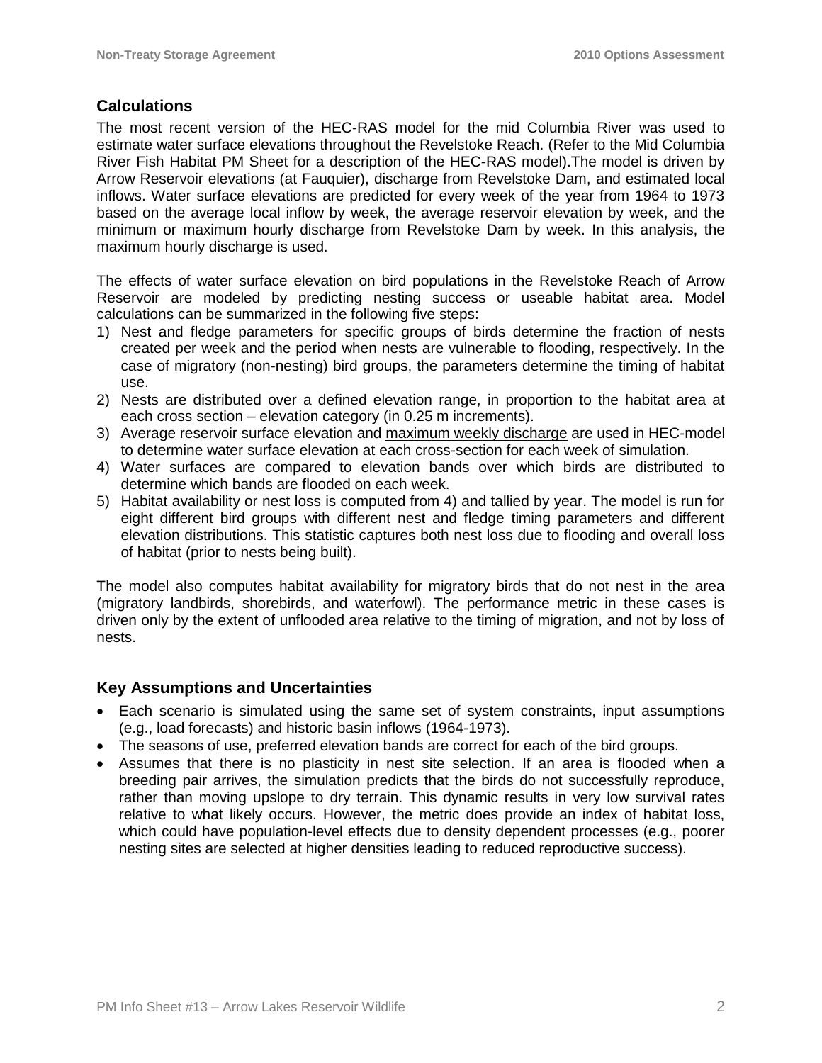## **Calculations**

The most recent version of the HEC-RAS model for the mid Columbia River was used to estimate water surface elevations throughout the Revelstoke Reach. (Refer to the Mid Columbia River Fish Habitat PM Sheet for a description of the HEC-RAS model).The model is driven by Arrow Reservoir elevations (at Fauquier), discharge from Revelstoke Dam, and estimated local inflows. Water surface elevations are predicted for every week of the year from 1964 to 1973 based on the average local inflow by week, the average reservoir elevation by week, and the minimum or maximum hourly discharge from Revelstoke Dam by week. In this analysis, the maximum hourly discharge is used.

The effects of water surface elevation on bird populations in the Revelstoke Reach of Arrow Reservoir are modeled by predicting nesting success or useable habitat area. Model calculations can be summarized in the following five steps:

- 1) Nest and fledge parameters for specific groups of birds determine the fraction of nests created per week and the period when nests are vulnerable to flooding, respectively. In the case of migratory (non-nesting) bird groups, the parameters determine the timing of habitat use.
- 2) Nests are distributed over a defined elevation range, in proportion to the habitat area at each cross section – elevation category (in 0.25 m increments).
- 3) Average reservoir surface elevation and maximum weekly discharge are used in HEC-model to determine water surface elevation at each cross-section for each week of simulation.
- 4) Water surfaces are compared to elevation bands over which birds are distributed to determine which bands are flooded on each week.
- 5) Habitat availability or nest loss is computed from 4) and tallied by year. The model is run for eight different bird groups with different nest and fledge timing parameters and different elevation distributions. This statistic captures both nest loss due to flooding and overall loss of habitat (prior to nests being built).

The model also computes habitat availability for migratory birds that do not nest in the area (migratory landbirds, shorebirds, and waterfowl). The performance metric in these cases is driven only by the extent of unflooded area relative to the timing of migration, and not by loss of nests.

# **Key Assumptions and Uncertainties**

- Each scenario is simulated using the same set of system constraints, input assumptions (e.g., load forecasts) and historic basin inflows (1964-1973).
- The seasons of use, preferred elevation bands are correct for each of the bird groups.
- Assumes that there is no plasticity in nest site selection. If an area is flooded when a breeding pair arrives, the simulation predicts that the birds do not successfully reproduce, rather than moving upslope to dry terrain. This dynamic results in very low survival rates relative to what likely occurs. However, the metric does provide an index of habitat loss, which could have population-level effects due to density dependent processes (e.g., poorer nesting sites are selected at higher densities leading to reduced reproductive success).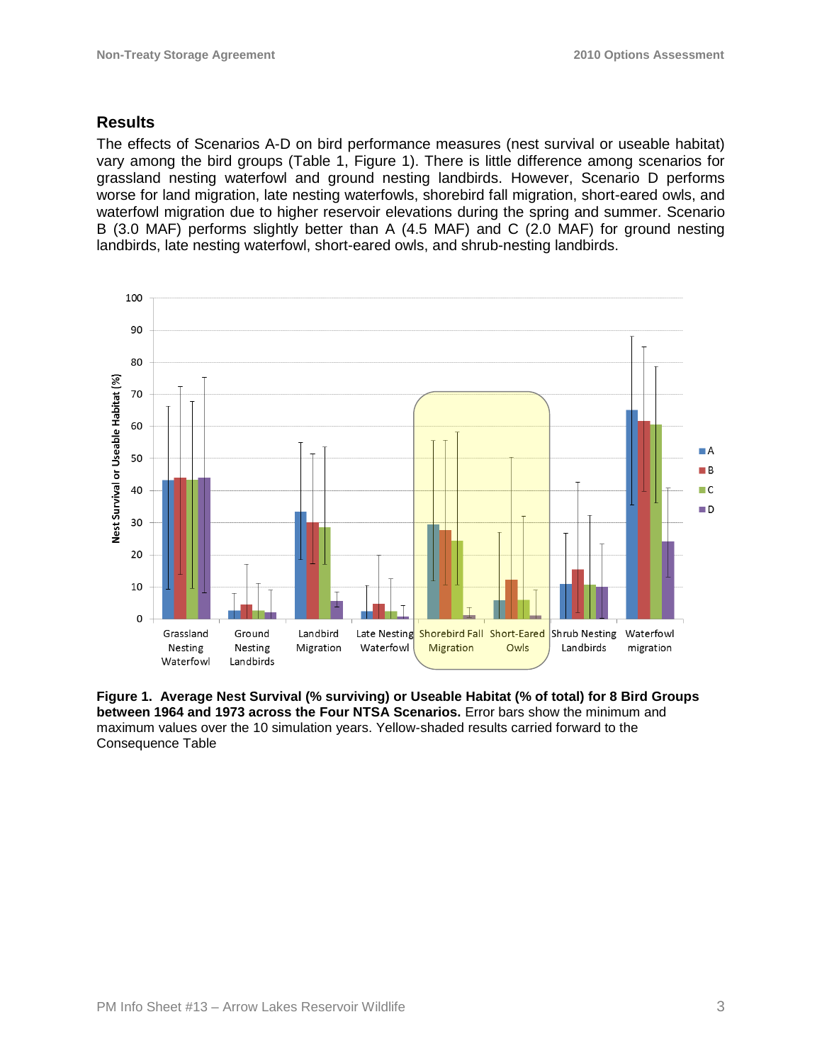## **Results**

The effects of Scenarios A-D on bird performance measures (nest survival or useable habitat) vary among the bird groups (Table 1, Figure 1). There is little difference among scenarios for grassland nesting waterfowl and ground nesting landbirds. However, Scenario D performs worse for land migration, late nesting waterfowls, shorebird fall migration, short-eared owls, and waterfowl migration due to higher reservoir elevations during the spring and summer. Scenario B (3.0 MAF) performs slightly better than A (4.5 MAF) and C (2.0 MAF) for ground nesting landbirds, late nesting waterfowl, short-eared owls, and shrub-nesting landbirds.



**Figure 1. Average Nest Survival (% surviving) or Useable Habitat (% of total) for 8 Bird Groups between 1964 and 1973 across the Four NTSA Scenarios.** Error bars show the minimum and maximum values over the 10 simulation years. Yellow-shaded results carried forward to the Consequence Table